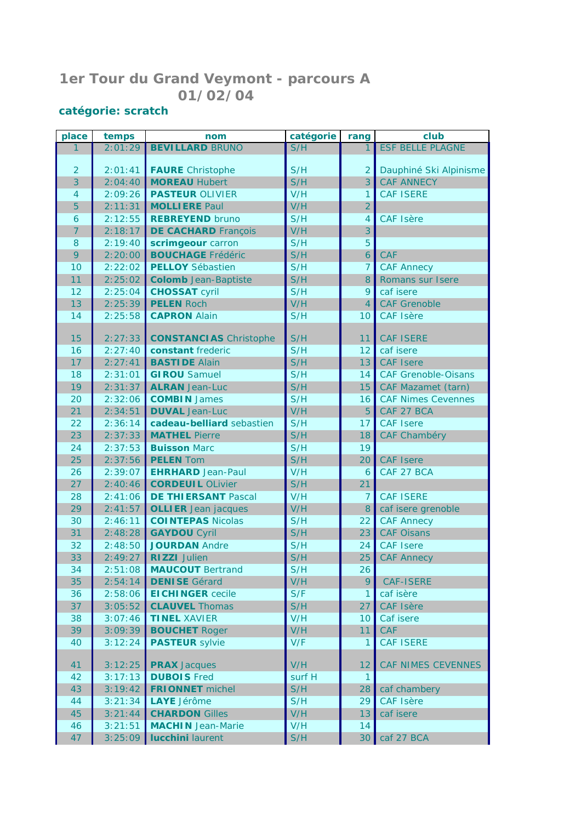## **1er Tour du Grand Veymont - parcours A 01/02/04**

## **catégorie:** *scratch*

| place          | temps   | nom                           | catégorie | rang            | club                       |
|----------------|---------|-------------------------------|-----------|-----------------|----------------------------|
|                | 2:01:29 | <b>BEVILLARD BRUNO</b>        | S/H       |                 | <b>ESF BELLE PLAGNE</b>    |
|                |         |                               |           |                 |                            |
| $\overline{2}$ | 2:01:41 | <b>FAURE</b> Christophe       | S/H       | $\overline{2}$  | Dauphiné Ski Alpinisme     |
| 3              | 2:04:40 | <b>MOREAU Hubert</b>          | S/H       | 3               | <b>CAF ANNECY</b>          |
| $\overline{4}$ | 2:09:26 | <b>PASTEUR OLIVIER</b>        | V/H       | $\mathbf{1}$    | <b>CAF ISERE</b>           |
| 5              | 2:11:31 | <b>MOLLIERE Paul</b>          | V/H       | $\overline{2}$  |                            |
| 6              | 2:12:55 | <b>REBREYEND bruno</b>        | S/H       | 4               | <b>CAF Isère</b>           |
| 7              | 2:18:17 | <b>DE CACHARD François</b>    | V/H       | 3               |                            |
| 8              | 2:19:40 | scrimgeour carron             | S/H       | 5               |                            |
| 9              | 2:20:00 | <b>BOUCHAGE Frédéric</b>      | S/H       | 6               | <b>CAF</b>                 |
| 10             | 2:22:02 | <b>PELLOY</b> Sébastien       | S/H       | $\overline{7}$  | <b>CAF Annecy</b>          |
| 11             | 2:25:02 | <b>Colomb</b> Jean-Baptiste   | S/H       | 8               | Romans sur Isere           |
| 12             | 2:25:04 | <b>CHOSSAT cyril</b>          | S/H       | 9               | caf isere                  |
| 13             | 2:25:39 | <b>PELEN Roch</b>             | V/H       | $\overline{4}$  | <b>CAF Grenoble</b>        |
| 14             | 2:25:58 | <b>CAPRON Alain</b>           | S/H       | 10              | <b>CAF Isère</b>           |
|                |         |                               |           |                 |                            |
| 15             | 2:27:33 | <b>CONSTANCIAS</b> Christophe | S/H       | 11              | <b>CAF ISERE</b>           |
| 16             | 2:27:40 | constant frederic             | S/H       | 12              | caf isere                  |
| 17             | 2:27:41 | <b>BASTIDE Alain</b>          | S/H       | 13              | <b>CAF Isere</b>           |
| 18             | 2:31:01 | <b>GIROU</b> Samuel           | S/H       | 14              | <b>CAF Grenoble-Oisans</b> |
| 19             | 2:31:37 | <b>ALRAN</b> Jean-Luc         | S/H       | 15              | <b>CAF Mazamet (tarn)</b>  |
| 20             | 2:32:06 | <b>COMBIN James</b>           | S/H       | 16              | <b>CAF Nimes Cevennes</b>  |
| 21             | 2:34:51 | <b>DUVAL</b> Jean-Luc         | V/H       | 5               | CAF 27 BCA                 |
| 22             | 2:36:14 | cadeau-belliard sebastien     | S/H       | 17              | <b>CAF Isere</b>           |
| 23             | 2:37:33 | <b>MATHEL Pierre</b>          | S/H       | 18              | CAF Chambéry               |
| 24             | 2:37:53 | <b>Buisson Marc</b>           | S/H       | 19              |                            |
| 25             | 2:37:56 | <b>PELEN Tom</b>              | S/H       | 20              | <b>CAF Isere</b>           |
| 26             | 2:39:07 | <b>EHRHARD</b> Jean-Paul      | V/H       | 6               | CAF 27 BCA                 |
| 27             | 2:40:46 | <b>CORDEUIL OLivier</b>       | S/H       | 21              |                            |
| 28             | 2:41:06 | <b>DE THIERSANT Pascal</b>    | V/H       | 7               | <b>CAF ISERE</b>           |
| 29             | 2:41:57 | <b>OLLIER</b> Jean jacques    | V/H       | 8               | caf isere grenoble         |
| 30             | 2:46:11 | <b>COINTEPAS Nicolas</b>      | S/H       | 22              | <b>CAF Annecy</b>          |
| 31             | 2:48:28 | <b>GAYDOU Cyril</b>           | S/H       | 23              | <b>CAF Oisans</b>          |
| 32             | 2:48:50 | <b>JOURDAN Andre</b>          | S/H       | 24              | <b>CAF</b> Isere           |
| 33             | 2:49:27 | <b>RIZZI</b> Julien           | S/H       | 25              | <b>CAF Annecy</b>          |
| 34             |         | 2:51:08 MAUCOUT Bertrand      | S/H       | 26              |                            |
| 35             | 2:54:14 | <b>DENISE</b> Gérard          | V/H       | 9               | <b>CAF-ISERE</b>           |
| 36             | 2:58:06 | <b>EICHINGER</b> cecile       | S/F       | 1               | caf isère                  |
| 37             | 3:05:52 | <b>CLAUVEL Thomas</b>         | S/H       | 27              | <b>CAF Isère</b>           |
| 38             | 3:07:46 | <b>TINEL XAVIER</b>           | V/H       | 10 <sup>°</sup> | Caf isere                  |
| 39             | 3:09:39 | <b>BOUCHET Roger</b>          | V/H       | 11              | <b>CAF</b>                 |
| 40             | 3:12:24 | <b>PASTEUR</b> sylvie         | V/F       | 1               | <b>CAF ISERE</b>           |
|                |         |                               |           |                 |                            |
| 41             | 3:12:25 | <b>PRAX</b> Jacques           | V/H       | 12              | <b>CAF NIMES CEVENNES</b>  |
| 42             | 3:17:13 | <b>DUBOIS</b> Fred            | surf H    | $\mathbf{1}$    |                            |
| 43             | 3:19:42 | <b>FRIONNET</b> michel        | S/H       | 28              | caf chambery               |
| 44             | 3:21:34 | LAYE Jérôme                   | S/H       | 29              | <b>CAF Isère</b>           |
| 45             | 3:21:44 | <b>CHARDON Gilles</b>         | V/H       | 13              | caf isere                  |
| 46             | 3:21:51 | <b>MACHIN</b> Jean-Marie      | V/H       | 14              |                            |
| 47             |         | $3:25:09$ lucchini laurent    | S/H       | 30 <sup>1</sup> | caf 27 BCA                 |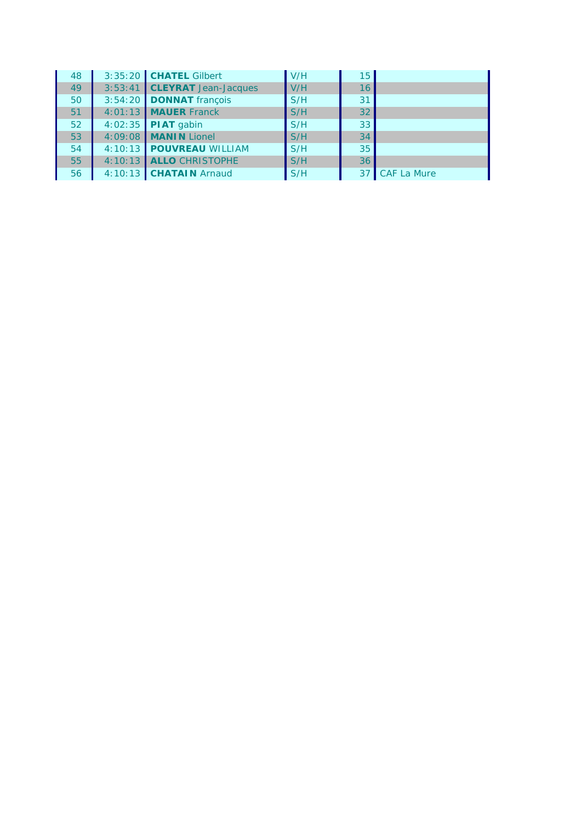| 48 | 3:35:20 <b>CHATEL</b> Gilbert   | V/H | 15 <sub>1</sub> |                |
|----|---------------------------------|-----|-----------------|----------------|
| 49 | 3:53:41 CLEYRAT Jean-Jacques    | V/H | 16              |                |
| 50 | 3:54:20 DONNAT françois         | S/H | 31              |                |
| 51 | 4:01:13 MAUER Franck            | S/H | 32              |                |
| 52 | $4:02:35$ PIAT gabin            | S/H | 33              |                |
| 53 | 4:09:08 MANIN Lionel            | S/H | 34              |                |
| 54 | 4:10:13 POUVREAU WILLIAM        | S/H | 35 <sup>°</sup> |                |
| 55 | 4:10:13 ALLO CHRISTOPHE         | S/H | 36 <sup>1</sup> |                |
| 56 | $4:10:13$ <b>CHATAIN</b> Arnaud | S/H |                 | 37 CAF La Mure |